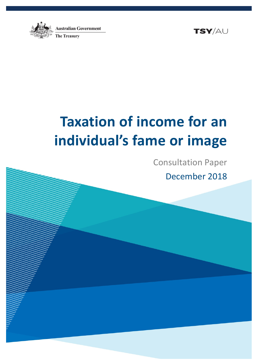



# **Taxation of income for an individual's fame or image**

Consultation Paper December 2018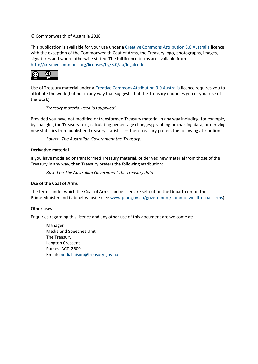#### © Commonwealth of Australia 2018

This publication is available for your use under a [Creative Commons Attribution 3.0 Australia](http://creativecommons.org/licenses/by/3.0/au/deed.en) licence, with the exception of the Commonwealth Coat of Arms, the Treasury logo, photographs, images, signatures and where otherwise stated. The full licence terms are available from [http://creativecommons.org/licenses/by/3.0/au/legalcode.](http://creativecommons.org/licenses/by/3.0/au/legalcode)



Use of Treasury material under a [Creative Commons Attribution 3.0 Australia](http://creativecommons.org/licenses/by/3.0/au/deed.en) licence requires you to attribute the work (but not in any way that suggests that the Treasury endorses you or your use of the work).

#### *Treasury material used 'as supplied'.*

Provided you have not modified or transformed Treasury material in any way including, for example, by changing the Treasury text; calculating percentage changes; graphing or charting data; or deriving new statistics from published Treasury statistics — then Treasury prefers the following attribution:

*Source: The Australian Government the Treasury*.

#### **Derivative material**

If you have modified or transformed Treasury material, or derived new material from those of the Treasury in any way, then Treasury prefers the following attribution:

*Based on The Australian Government the Treasury data*.

#### **Use of the Coat of Arms**

The terms under which the Coat of Arms can be used are set out on the Department of the Prime Minister and Cabinet website (se[e www.pmc.gov.au/government/commonwealth-coat-arms\)](http://www.pmc.gov.au/government/commonwealth-coat-arms).

#### **Other uses**

Enquiries regarding this licence and any other use of this document are welcome at:

Manager Media and Speeches Unit The Treasury Langton Crescent Parkes ACT 2600 Email: [medialiaison@treasury.gov.au](mailto:medialiaison@treasury.gov.au)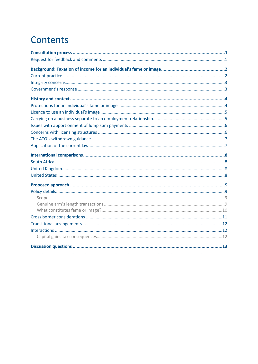## Contents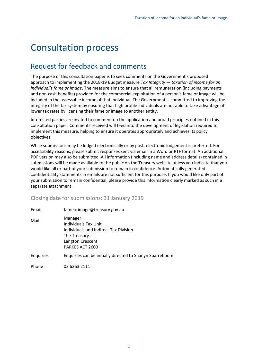## <span id="page-3-0"></span>Consultation process

## <span id="page-3-1"></span>Request for feedback and comments

The purpose of this consultation paper is to seek comments on the Government's proposed approach to implementing the 2018-19 Budget measure *Tax Integrity — taxation of income for an individual's fame or image*. The measure aims to ensure that all remuneration (including payments and non-cash benefits) provided for the commercial exploitation of a person's fame or image will be included in the assessable income of that individual. The Government is committed to improving the integrity of the tax system by ensuring that high profile individuals are not able to take advantage of lower tax rates by licensing their fame or image to another entity.

Interested parties are invited to comment on the application and broad principles outlined in this consultation paper. Comments received will feed into the development of legislation required to implement this measure, helping to ensure it operates appropriately and achieves its policy objectives.

While submissions may be lodged electronically or by post, electronic lodgement is preferred. For accessibility reasons, please submit responses sent via email in a Word or RTF format. An additional PDF version may also be submitted. All information (including name and address details) contained in submissions will be made available to the public on the Treasury website unless you indicate that you would like all or part of your submission to remain in confidence. Automatically generated confidentiality statements in emails are not sufficient for this purpose. If you would like only part of your submission to remain confidential, please provide this information clearly marked as such in a separate attachment.

Closing date for submissions: 31 January 2019

| Email            | fameorimage@treasury.gov.au                                                                                                     |
|------------------|---------------------------------------------------------------------------------------------------------------------------------|
| Mail             | Manager<br>Individuals Tax Unit<br>Individuals and Indirect Tax Division<br>The Treasury<br>Langton Crescent<br>PARKES ACT 2600 |
| <b>Enquiries</b> | Enquiries can be initially directed to Shanyn Sparreboom                                                                        |
| Phone            | 02 6263 2111                                                                                                                    |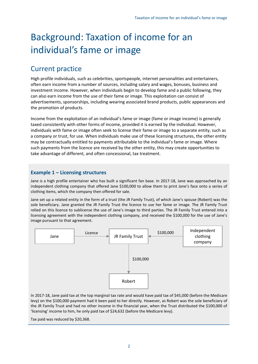## <span id="page-4-0"></span>Background: Taxation of income for an individual's fame or image

## <span id="page-4-1"></span>Current practice

High profile individuals, such as celebrities, sportspeople, internet personalities and entertainers, often earn income from a number of sources, including salary and wages, bonuses, business and investment income. However, when individuals begin to develop fame and a public following, they can also earn income from the use of their fame or image. This exploitation can consist of advertisements, sponsorships, including wearing associated brand products, public appearances and the promotion of products.

Income from the exploitation of an individual's fame or image (fame or image income) is generally taxed consistently with other forms of income, provided it is earned by the individual. However, individuals with fame or image often seek to license their fame or image to a separate entity, such as a company or trust, for use. When individuals make use of these licensing structures, the other entity may be contractually entitled to payments attributable to the individual's fame or image. Where such payments from the licence are received by the other entity, this may create opportunities to take advantage of different, and often concessional, tax treatment.

### **Example 1 – Licensing structures**

Jane is a high profile entertainer who has built a significant fan base. In 2017-18, Jane was approached by an independent clothing company that offered Jane \$100,000 to allow them to print Jane's face onto a series of clothing items, which the company then offered for sale.

Jane set up a related entity in the form of a trust (the JR Family Trust), of which Jane's spouse (Robert) was the sole beneficiary. Jane granted the JR Family Trust the licence to use her fame or image. The JR Family Trust relied on this licence to sublicense the use of Jane's image to third parties. The JR Family Trust entered into a licensing agreement with the independent clothing company, and received the \$100,000 for the use of Jane's image pursuant to that agreement.



In 2017-18, Jane paid tax at the top marginal tax rate and would have paid tax of \$45,000 (before the Medicare levy) on the \$100,000 payment had it been paid to her directly. However, as Robert was the sole beneficiary of the JR Family Trust and had no other income in the financial year, when the Trust distributed the \$100,000 of 'licensing' income to him, he only paid tax of \$24,632 (before the Medicare levy).

Tax paid was reduced by \$20,368.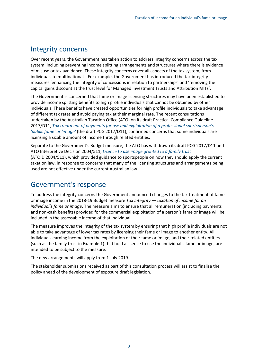### <span id="page-5-0"></span>Integrity concerns

Over recent years, the Government has taken action to address integrity concerns across the tax system, including preventing income splitting arrangements and structures where there is evidence of misuse or tax avoidance. These integrity concerns cover all aspects of the tax system, from individuals to multinationals. For example, the Government has introduced the tax integrity measures 'enhancing the integrity of concessions in relation to partnerships' and 'removing the capital gains discount at the trust level for Managed Investment Trusts and Attribution MITs'.

The Government is concerned that fame or image licensing structures may have been established to provide income splitting benefits to high profile individuals that cannot be obtained by other individuals. These benefits have created opportunities for high profile individuals to take advantage of different tax rates and avoid paying tax at their marginal rate. The recent consultations undertaken by the Australian Taxation Office (ATO) on its draft Practical Compliance Guideline 2017/D11, *[Tax treatment of payments for use and exploitation of a professional sportsperson's](https://www.ato.gov.au/law/view/document?docid=COG/PCG201711/NAT/ATO)  ['public fame' or 'image'](https://www.ato.gov.au/law/view/document?docid=COG/PCG201711/NAT/ATO)* (the draft PCG 2017/D11), confirmed concerns that some individuals are licensing a sizable amount of income through related entities.

Separate to the Government's Budget measure, the ATO has withdrawn its draft PCG 2017/D11 and ATO Interpretive Decision 2004/511, *[Licence to use image granted to a family trust](http://law.ato.gov.au/atolaw/view.htm?docid=AID/AID2004511/00001&PiT=20040531000001)* (ATOID 2004/511), which provided guidance to sportspeople on how they should apply the current taxation law, in response to concerns that many of the licensing structures and arrangements being used are not effective under the current Australian law.

### <span id="page-5-1"></span>Government's response

To address the integrity concerns the Government announced changes to the tax treatment of fame or image income in the 2018-19 Budget measure *Tax Integrity — taxation of income for an individual's fame or image*. The measure aims to ensure that all remuneration (including payments and non-cash benefits) provided for the commercial exploitation of a person's fame or image will be included in the assessable income of that individual.

The measure improves the integrity of the tax system by ensuring that high profile individuals are not able to take advantage of lower tax rates by licensing their fame or image to another entity. All individuals earning income from the exploitation of their fame or image, and their related entities (such as the family trust in Example 1) that hold a licence to use the individual's fame or image, are intended to be subject to the measure.

The new arrangements will apply from 1 July 2019.

The stakeholder submissions received as part of this consultation process will assist to finalise the policy ahead of the development of exposure draft legislation.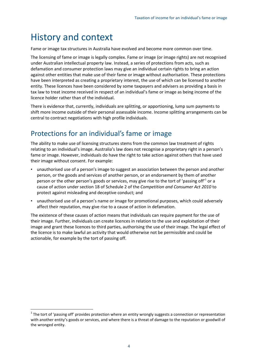## <span id="page-6-0"></span>History and context

Fame or image tax structures in Australia have evolved and become more common over time.

The licensing of fame or image is legally complex. Fame or image (or image rights) are not recognised under Australian intellectual property law. Instead, a series of protections from acts, such as defamation and consumer protection laws may give an individual certain rights to bring an action against other entities that make use of their fame or image without authorisation. These protections have been interpreted as creating a proprietary interest, the use of which can be licensed to another entity. These licences have been considered by some taxpayers and advisers as providing a basis in tax law to treat income received in respect of an individual's fame or image as being income of the licence holder rather than of the individual.

There is evidence that, currently, individuals are splitting, or apportioning, lump sum payments to shift more income outside of their personal assessable income. Income splitting arrangements can be central to contract negotiations with high profile individuals.

## <span id="page-6-1"></span>Protections for an individual's fame or image

The ability to make use of licensing structures stems from the common law treatment of rights relating to an individual's image. Australia's law does not recognise a proprietary right in a person's fame or image. However, individuals do have the right to take action against others that have used their image without consent. For example:

- unauthorised use of a person's image to suggest an association between the person and another person, or the goods and services of another person, or an endorsement by them of another person or the other person's goods or services, may give rise to the tort of 'passing off'<sup>[1](#page-6-2)</sup> or a cause of action under section 18 of Schedule 2 of the *Competition and Consumer Act 2010* to protect against misleading and deceptive conduct; and
- unauthorised use of a person's name or image for promotional purposes, which could adversely affect their reputation, may give rise to a cause of action in defamation.

The existence of these causes of action means that individuals can require payment for the use of their image. Further, individuals can create licences in relation to the use and exploitation of their image and grant these licences to third parties, authorising the use of their image. The legal effect of the licence is to make lawful an activity that would otherwise not be permissible and could be actionable, for example by the tort of passing off.

<span id="page-6-2"></span> $1$  The tort of 'passing off' provides protection where an entity wrongly suggests a connection or representation with another entity's goods or services, and where there is a threat of damage to the reputation or goodwill of the wronged entity.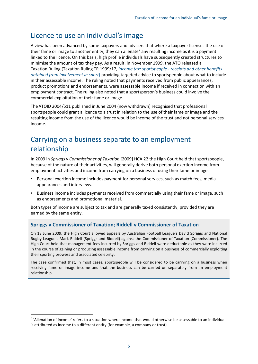## <span id="page-7-0"></span>Licence to use an individual's image

A view has been advanced by some taxpayers and advisers that where a taxpayer licenses the use of their fame or image to another entity, they can alienate<sup>[2](#page-7-2)</sup> any resulting income as it is a payment linked to the licence. On this basis, high profile individuals have subsequently created structures to minimise the amount of tax they pay. As a result, in November 1999, the ATO released a Taxation Ruling (Taxation Ruling TR 1999/17, *Income tax: sportspeople - [receipts and other benefits](http://law.ato.gov.au/atolaw/view.htm?Docid=TXR/TR199917/NAT/ATO/00001)  [obtained from involvement](http://law.ato.gov.au/atolaw/view.htm?Docid=TXR/TR199917/NAT/ATO/00001) in sport*) providing targeted advice to sportspeople about what to include in their assessable income. The ruling noted that payments received from public appearances, product promotions and endorsements, were assessable income if received in connection with an employment contract. The ruling also noted that a sportsperson's business could involve the commercial exploitation of their fame or image.

TheATOID 2004/511 published in June 2004 (now withdrawn) recognised that professional sportspeople could grant a licence to a trust in relation to the use of their fame or image and the resulting income from the use of the licence would be income of the trust and not personal services income.

## <span id="page-7-1"></span>Carrying on a business separate to an employment relationship

In 2009 in *Spriggs v Commissioner of Taxation* [2009] HCA 22 the High Court held that sportspeople, because of the nature of their activities, will generally derive both personal exertion income from employment activities and income from carrying on a business of using their fame or image.

- Personal exertion income includes payment for personal services, such as match fees, media appearances and interviews.
- Business income includes payments received from commercially using their fame or image, such as endorsements and promotional material.

Both types of income are subject to tax and are generally taxed consistently, provided they are earned by the same entity.

### **Spriggs v Commissioner of Taxation; Riddell v Commissioner of Taxation**

On 18 June 2009, the High Court allowed appeals by Australian Football League's David Spriggs and National Rugby League's Mark Riddell (Spriggs and Riddell) against the Commissioner of Taxation (Commissioner). The High Court held that management fees incurred by Spriggs and Riddell were deductable as they were incurred in the course of gaining or producing assessable income from carrying on a business of commercially exploiting their sporting prowess and associated celebrity.

The case confirmed that, in most cases, sportspeople will be considered to be carrying on a business when receiving fame or image income and that the business can be carried on separately from an employment relationship.

<span id="page-7-2"></span><sup>&</sup>lt;sup>2</sup> 'Alienation of income' refers to a situation where income that would otherwise be assessable to an individual is attributed as income to a different entity (for example, a company or trust).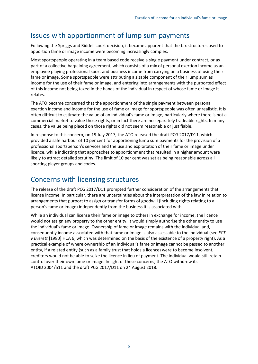### <span id="page-8-0"></span>Issues with apportionment of lump sum payments

Following the Spriggs and Riddell court decision, it became apparent that the tax structures used to apportion fame or image income were becoming increasingly complex.

Most sportspeople operating in a team based code receive a single payment under contract, or as part of a collective bargaining agreement, which consists of a mix of personal exertion income as an employee playing professional sport and business income from carrying on a business of using their fame or image. Some sportspeople were attributing a sizable component of their lump sum as income for the use of their fame or image, and entering into arrangements with the purported effect of this income not being taxed in the hands of the individual in respect of whose fame or image it relates.

The ATO became concerned that the apportionment of the single payment between personal exertion income and income for the use of fame or image for sportspeople was often unrealistic. It is often difficult to estimate the value of an individual's fame or image, particularly where there is not a commercial market to value those rights, or in fact there are no separately tradeable rights. In many cases, the value being placed on those rights did not seem reasonable or justifiable.

In response to this concern, on 19 July 2017, the ATO released the draft PCG 2017/D11, which provided a safe harbour of 10 per cent for apportioning lump sum payments for the provision of a professional sportsperson's services and the use and exploitation of their fame or image under licence, while indicating that approaches to apportionment that resulted in a higher amount were likely to attract detailed scrutiny. The limit of 10 per cent was set as being reasonable across all sporting player groups and codes.

### <span id="page-8-1"></span>Concerns with licensing structures

The release of the draft PCG 2017/D11 prompted further consideration of the arrangements that license income. In particular, there are uncertainties about the interpretation of the law in relation to arrangements that purport to assign or transfer forms of goodwill (including rights relating to a person's fame or image) independently from the business it is associated with.

While an individual can license their fame or image to others in exchange for income, the licence would not assign any property to the other entity, it would simply authorise the other entity to use the individual's fame or image. Ownership of fame or image remains with the individual and, consequently income associated with that fame or image is also assessable to the individual (see *FCT v Everett* [1980] HCA 6, which was determined on the basis of the existence of a property right). As a practical example of where ownership of an individual's fame or image cannot be passed to another entity, if a related entity (such as a family trust that holds a licence) were to become insolvent, creditors would not be able to seize the licence in lieu of payment. The individual would still retain control over their own fame or image. In light of these concerns, the ATO withdrew its ATOID 2004/511 and the draft PCG 2017/D11 on 24 August 2018.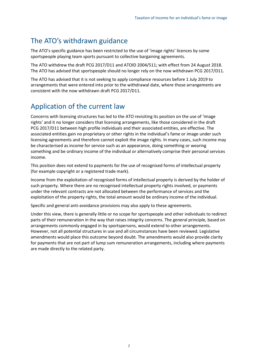### <span id="page-9-0"></span>The ATO's withdrawn guidance

The ATO's specific guidance has been restricted to the use of 'image rights' licences by some sportspeople playing team sports pursuant to collective bargaining agreements.

The ATO withdrew the draft PCG 2017/D11 and ATOID 2004/511; with effect from 24 August 2018. The ATO has advised that sportspeople should no longer rely on the now withdrawn PCG 2017/D11.

The ATO has advised that it is not seeking to apply compliance resources before 1 July 2019 to arrangements that were entered into prior to the withdrawal date, where those arrangements are consistent with the now withdrawn draft PCG 2017/D11.

## <span id="page-9-1"></span>Application of the current law

Concerns with licensing structures has led to the ATO revisiting its position on the use of 'image rights' and it no longer considers that licensing arrangements, like those considered in the draft PCG 2017/D11 between high profile individuals and their associated entities, are effective. The associated entities gain no proprietary or other rights in the individual's fame or image under such licensing agreements and therefore cannot exploit the image rights. In many cases, such income may be characterised as income for service such as an appearance, doing something or wearing something and be ordinary income of the individual or alternatively comprise their personal services income.

This position does not extend to payments for the use of recognised forms of intellectual property (for example copyright or a registered trade mark).

Income from the exploitation of recognised forms of intellectual property is derived by the holder of such property. Where there are no recognised intellectual property rights involved, or payments under the relevant contracts are not allocated between the performance of services and the exploitation of the property rights, the total amount would be ordinary income of the individual.

Specific and general anti-avoidance provisions may also apply to these agreements.

Under this view, there is generally little or no scope for sportspeople and other individuals to redirect parts of their remuneration in the way that raises integrity concerns. The general principle, based on arrangements commonly engaged in by sportspersons, would extend to other arrangements. However, not all potential structures in use and all circumstances have been reviewed. Legislative amendments would place this outcome beyond doubt. The amendments would also provide clarity for payments that are not part of lump sum remuneration arrangements, including where payments are made directly to the related party.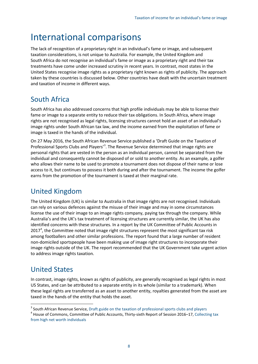## <span id="page-10-0"></span>International comparisons

The lack of recognition of a proprietary right in an individual's fame or image, and subsequent taxation considerations, is not unique to Australia. For example, the United Kingdom and South Africa do not recognise an individual's fame or image as a proprietary right and their tax treatments have come under increased scrutiny in recent years. In contrast, most states in the United States recognise image rights as a proprietary right known as rights of publicity. The approach taken by these countries is discussed below. Other countries have dealt with the uncertain treatment and taxation of income in different ways.

## <span id="page-10-1"></span>South Africa

South Africa has also addressed concerns that high profile individuals may be able to license their fame or image to a separate entity to reduce their tax obligations. In South Africa, where image rights are not recognised as legal rights, licensing structures cannot hold an asset of an individual's image rights under South African tax law, and the income earned from the exploitation of fame or image is taxed in the hands of the individual.

On 27 May 2016, the South African Revenue Service published a 'Draft Guide on the Taxation of Professional Sports Clubs and Players<sup>'[3](#page-10-4)</sup>. The Revenue Service determined that image rights are personal rights that are vested in the person as an individual person, cannot be separated from the individual and consequently cannot be disposed of or sold to another entity. As an example, a golfer who allows their name to be used to promote a tournament does not dispose of their name or lose access to it, but continues to possess it both during and after the tournament. The income the golfer earns from the promotion of the tournament is taxed at their marginal rate.

## <span id="page-10-2"></span>United Kingdom

The United Kingdom (UK) is similar to Australia in that image rights are not recognised. Individuals can rely on various defences against the misuse of their image and may in some circumstances license the use of their image to an image rights company, paying tax through the company. While Australia's and the UK's tax treatment of licensing structures are currently similar, the UK has also identified concerns with these structures. In a report by the UK Committee of Public Accounts in 2017<sup>[4](#page-10-5)</sup>, the Committee noted that image right structures represent the most significant tax risk among footballers and other similar professions. The report found that a large number of resident non-domiciled sportspeople have been making use of image right structures to incorporate their image rights outside of the UK. The report recommended that the UK Government take urgent action to address image rights taxation.

## <span id="page-10-3"></span>United States

In contrast, image rights, known as rights of publicity, are generally recognised as legal rights in most US States, and can be attributed to a separate entity in its whole (similar to a trademark). When these legal rights are transferred as an asset to another entity, royalties generated from the asset are taxed in the hands of the entity that holds the asset.

<span id="page-10-5"></span><span id="page-10-4"></span><sup>&</sup>lt;sup>3</sup> South African Revenue Service, [Draft guide on the taxation of professional sports clubs and players](http://www.sars.gov.za/AllDocs/LegalDoclib/Drafts/LAPD-LPrep-Draft-2016-43%20-%20Draft%20Guide%20on%20the%20Taxation%20of%20Professional%20Sports%20Clubs%20and%20Players.pdf)  $4$  House of Commons, Committee of Public Accounts, Thirty-sixth Report of Session 2016–17, Collecting tax [from high net worth individuals](https://publications.parliament.uk/pa/cm201617/cmselect/cmpubacc/774/774.pdf)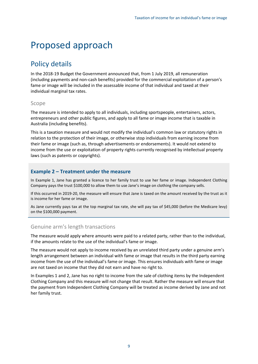## <span id="page-11-0"></span>Proposed approach

### <span id="page-11-1"></span>Policy details

In the 2018-19 Budget the Government announced that, from 1 July 2019, all remuneration (including payments and non-cash benefits) provided for the commercial exploitation of a person's fame or image will be included in the assessable income of that individual and taxed at their individual marginal tax rates.

### <span id="page-11-2"></span>Scope

The measure is intended to apply to all individuals, including sportspeople, entertainers, actors, entrepreneurs and other public figures, and apply to all fame or image income that is taxable in Australia (including benefits).

This is a taxation measure and would not modify the individual's common law or statutory rights in relation to the protection of their image, or otherwise stop individuals from earning income from their fame or image (such as, through advertisements or endorsements). It would not extend to income from the use or exploitation of property rights currently recognised by intellectual property laws (such as patents or copyrights).

### **Example 2 – Treatment under the measure**

In Example 1, Jane has granted a licence to her family trust to use her fame or image. Independent Clothing Company pays the trust \$100,000 to allow them to use Jane's image on clothing the company sells.

If this occurred in 2019-20, the measure will ensure that Jane is taxed on the amount received by the trust as it is income for her fame or image.

As Jane currently pays tax at the top marginal tax rate, she will pay tax of \$45,000 (before the Medicare levy) on the \$100,000 payment.

### <span id="page-11-3"></span>Genuine arm's length transactions

The measure would apply where amounts were paid to a related party, rather than to the individual, if the amounts relate to the use of the individual's fame or image.

The measure would not apply to income received by an unrelated third party under a genuine arm's length arrangement between an individual with fame or image that results in the third party earning income from the use of the individual's fame or image. This ensures individuals with fame or image are not taxed on income that they did not earn and have no right to.

In Examples 1 and 2, Jane has no right to income from the sale of clothing items by the Independent Clothing Company and this measure will not change that result. Rather the measure will ensure that the payment from Independent Clothing Company will be treated as income derived by Jane and not her family trust.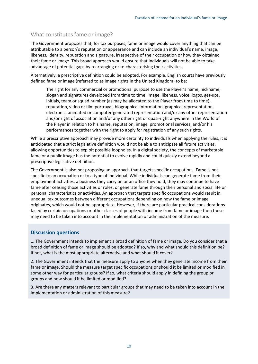### <span id="page-12-0"></span>What constitutes fame or image?

The Government proposes that, for tax purposes, fame or image would cover anything that can be attributable to a person's reputation or appearance and can include an individual's name, image, likeness, identity, reputation and signature, irrespective of their occupation or how they obtained their fame or image. This broad approach would ensure that individuals will not be able to take advantage of potential gaps by rearranging or re-characterising their activities.

Alternatively, a prescriptive definition could be adopted. For example, English courts have previously defined fame or image (referred to as image rights in the United Kingdom) to be:

The right for any commercial or promotional purpose to use the Player's name, nickname, slogan and signatures developed from time to time, image, likeness, voice, logos, get-ups, initials, team or squad number (as may be allocated to the Player from time to time), reputation, video or film portrayal, biographical information, graphical representation, electronic, animated or computer-generated representation and/or any other representation and/or right of association and/or any other right or quasi-right anywhere in the World of the Player in relation to his name, reputation, image, promotional services, and/or his performances together with the right to apply for registration of any such rights.

While a prescriptive approach may provide more certainty to individuals when applying the rules, it is anticipated that a strict legislative definition would not be able to anticipate all future activities, allowing opportunities to exploit possible loopholes. In a digital society, the concepts of marketable fame or a public image has the potential to evolve rapidly and could quickly extend beyond a prescriptive legislative definition.

The Government is also not proposing an approach that targets specific occupations. Fame is not specific to an occupation or to a type of individual. While individuals can generate fame from their employment activities, a business they carry on or an office they hold, they may continue to have fame after ceasing those activities or roles, or generate fame through their personal and social life or personal characteristics or activities. An approach that targets specific occupations would result in unequal tax outcomes between different occupations depending on how the fame or image originates, which would not be appropriate. However, if there are particular practical considerations faced by certain occupations or other classes of people with income from fame or image then these may need to be taken into account in the implementation or administration of the measure.

#### **Discussion questions**

1. The Government intends to implement a broad definition of fame or image. Do you consider that a broad definition of fame or image should be adopted? If so, why and what should this definition be? If not, what is the most appropriate alternative and what should it cover?

2. The Government intends that the measure apply to anyone when they generate income from their fame or image. Should the measure target specific occupations or should it be limited or modified in some other way for particular groups? If so, what criteria should apply in defining the group or groups and how should it be limited or modified?

3. Are there any matters relevant to particular groups that may need to be taken into account in the implementation or administration of this measure?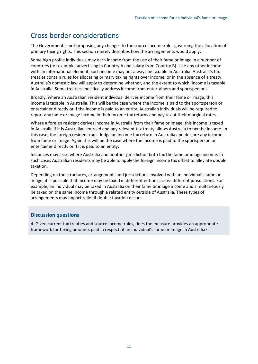## <span id="page-13-0"></span>Cross border considerations

The Government is not proposing any changes to the source income rules governing the allocation of primary taxing rights. This section merely describes how the arrangements would apply.

Some high profile individuals may earn income from the use of their fame or image in a number of countries (for example, advertising in Country A and salary from Country B). Like any other income with an international element, such income may not always be taxable in Australia. Australia's tax treaties contain rules for allocating primary taxing rights over income, or in the absence of a treaty, Australia's domestic law will apply to determine whether, and the extent to which, income is taxable in Australia. Some treaties specifically address income from entertainers and sportspersons.

Broadly, where an Australian resident individual derives income from their fame or image, this income is taxable in Australia. This will be the case where the income is paid to the sportsperson or entertainer directly or if the income is paid to an entity. Australian individuals will be required to report any fame or image income in their income tax returns and pay tax at their marginal rates.

Where a foreign resident derives income in Australia from their fame or image, this income is taxed in Australia if it is Australian sourced and any relevant tax treaty allows Australia to tax the income. In this case, the foreign resident must lodge an income tax return in Australia and declare any income from fame or image. Again this will be the case where the income is paid to the sportsperson or entertainer directly or if it is paid to an entity.

Instances may arise where Australia and another jurisdiction both tax the fame or image income. In such cases Australian residents may be able to apply the foreign income tax offset to alleviate double taxation.

Depending on the structures, arrangements and jurisdictions involved with an individual's fame or image, it is possible that income may be taxed in different entities across different jurisdictions. For example, an individual may be taxed in Australia on their fame or image income and simultaneously be taxed on the same income through a related entity outside of Australia. These types of arrangements may impact relief if double taxation occurs.

### **Discussion questions**

4. Given current tax treaties and source income rules, does the measure provides an appropriate framework for taxing amounts paid in respect of an individual's fame or image in Australia?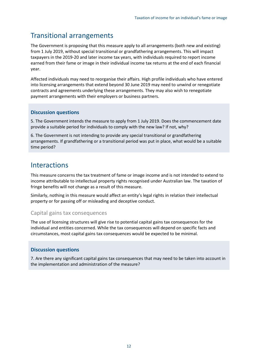## <span id="page-14-0"></span>Transitional arrangements

The Government is proposing that this measure apply to all arrangements (both new and existing) from 1 July 2019, without special transitional or grandfathering arrangements. This will impact taxpayers in the 2019-20 and later income tax years, with individuals required to report income earned from their fame or image in their individual income tax returns at the end of each financial year.

Affected individuals may need to reorganise their affairs. High profile individuals who have entered into licensing arrangements that extend beyond 30 June 2019 may need to unwind or renegotiate contracts and agreements underlying these arrangements. They may also wish to renegotiate payment arrangements with their employers or business partners.

#### **Discussion questions**

5. The Government intends the measure to apply from 1 July 2019. Does the commencement date provide a suitable period for individuals to comply with the new law? If not, why?

6. The Government is not intending to provide any special transitional or grandfathering arrangements. If grandfathering or a transitional period was put in place, what would be a suitable time period?

### <span id="page-14-1"></span>**Interactions**

This measure concerns the tax treatment of fame or image income and is not intended to extend to income attributable to intellectual property rights recognised under Australian law. The taxation of fringe benefits will not change as a result of this measure.

Similarly, nothing in this measure would affect an entity's legal rights in relation their intellectual property or for passing off or misleading and deceptive conduct.

### <span id="page-14-2"></span>Capital gains tax consequences

The use of licensing structures will give rise to potential capital gains tax consequences for the individual and entities concerned. While the tax consequences will depend on specific facts and circumstances, most capital gains tax consequences would be expected to be minimal.

### **Discussion questions**

7. Are there any significant capital gains tax consequences that may need to be taken into account in the implementation and administration of the measure?